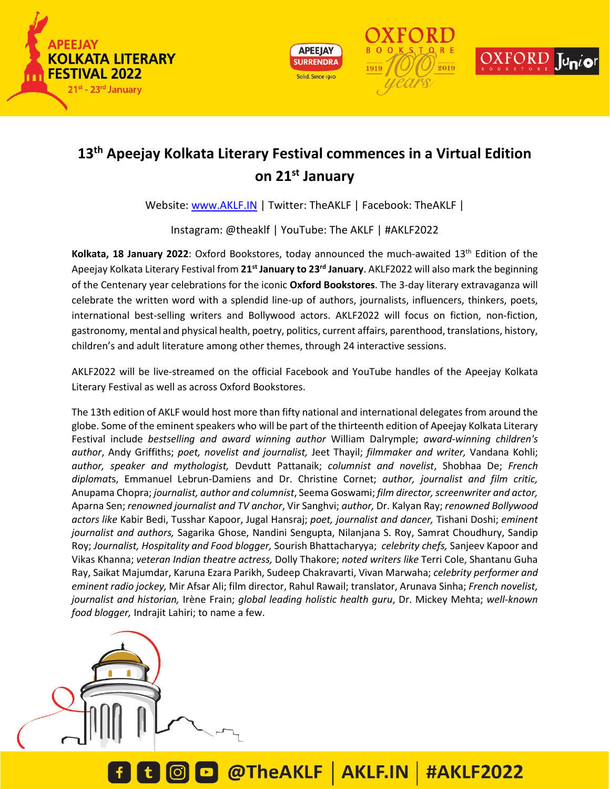







## **13th Apeejay Kolkata Literary Festival commences in a Virtual Edition on 21st January**

Website: [www.AKLF.IN](http://www.aklf.in/) | Twitter: TheAKLF | Facebook: TheAKLF |

Instagram: @theaklf | YouTube: The AKLF | #AKLF2022

**Kolkata, 18 January 2022**: Oxford Bookstores, today announced the much-awaited 13th Edition of the Apeejay Kolkata Literary Festival from **21st January to 23rd January**. AKLF2022 will also mark the beginning of the Centenary year celebrations for the iconic **Oxford Bookstores**. The 3-day literary extravaganza will celebrate the written word with a splendid line-up of authors, journalists, influencers, thinkers, poets, international best-selling writers and Bollywood actors. AKLF2022 will focus on fiction, non-fiction, gastronomy, mental and physical health, poetry, politics, current affairs, parenthood, translations, history, children's and adult literature among other themes, through 24 interactive sessions.

AKLF2022 will be live-streamed on the official Facebook and YouTube handles of the Apeejay Kolkata Literary Festival as well as across Oxford Bookstores.

The 13th edition of AKLF would host more than fifty national and international delegates from around the globe. Some of the eminent speakers who will be part of the thirteenth edition of Apeejay Kolkata Literary Festival include *bestselling and award winning author* William Dalrymple; *award-winning children's author*, Andy Griffiths; *poet, novelist and journalist,* Jeet Thayil; *filmmaker and writer,* Vandana Kohli; *author, speaker and mythologist,* Devdutt Pattanaik; *columnist and novelist*, Shobhaa De; *French diplomat*s, Emmanuel Lebrun-Damiens and Dr. Christine Cornet; *author, journalist and film critic,* Anupama Chopra; *journalist, author and columnist*, Seema Goswami; *film director, screenwriter and actor,* Aparna Sen; *renowned journalist and TV anchor*, Vir Sanghvi; *author,* Dr. Kalyan Ray; *renowned Bollywood actors like* Kabir Bedi, Tusshar Kapoor, Jugal Hansraj; *poet, journalist and dancer,* Tishani Doshi; *eminent journalist and authors,* Sagarika Ghose, Nandini Sengupta, Nilanjana S. Roy, Samrat Choudhury, Sandip Roy; *Journalist, Hospitality and Food blogger,* Sourish Bhattacharyya; *celebrity chefs,* Sanjeev Kapoor and Vikas Khanna; *veteran Indian theatre actress,* Dolly Thakore; *noted writers like* Terri Cole, Shantanu Guha Ray, Saikat Majumdar, Karuna Ezara Parikh, Sudeep Chakravarti, Vivan Marwaha; *celebrity performer and eminent radio jockey,* Mir Afsar Ali; film director, Rahul Rawail; translator, Arunava Sinha; *French novelist, journalist and historian,* Irène Frain; *global leading holistic health guru*, Dr. Mickey Mehta; *well-known food blogger,* Indrajit Lahiri; to name a few.